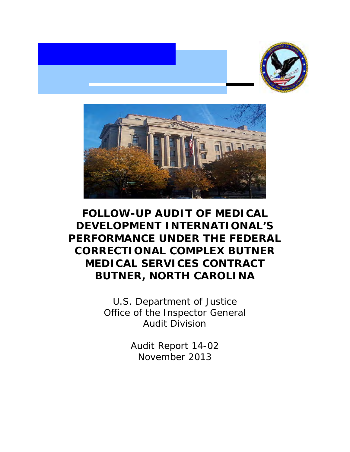



# **BUTNER, NORTH CAROLINAFOLLOW-UP AUDIT OF MEDICAL DEVELOPMENT INTERNATIONAL'S PERFORMANCE UNDER THE FEDERAL CORRECTIONAL COMPLEX BUTNER MEDICAL SERVICES CONTRACT**

U.S. Department of Justice Office of the Inspector General Audit Division

> November 2013Audit Report 14-02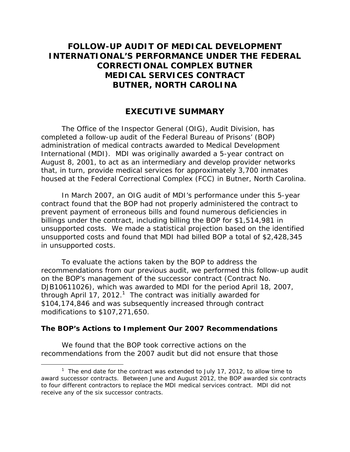## **FOLLOW-UP AUDIT OF MEDICAL DEVELOPMENT INTERNATIONAL'S PERFORMANCE UNDER THE FEDERAL CORRECTIONAL COMPLEX BUTNER MEDICAL SERVICES CONTRACT BUTNER, NORTH CAROLINA**

### **EXECUTIVE SUMMARY**

The Office of the Inspector General (OIG), Audit Division, has completed a follow-up audit of the Federal Bureau of Prisons' (BOP) administration of medical contracts awarded to Medical Development International (MDI). MDI was originally awarded a 5-year contract on August 8, 2001, to act as an intermediary and develop provider networks that, in turn, provide medical services for approximately 3,700 inmates housed at the Federal Correctional Complex (FCC) in Butner, North Carolina.

In March 2007, an OIG audit of MDI's performance under this 5-year contract found that the BOP had not properly administered the contract to prevent payment of erroneous bills and found numerous deficiencies in billings under the contract, including billing the BOP for \$1,514,981 in unsupported costs. We made a statistical projection based on the identified unsupported costs and found that MDI had billed BOP a total of \$2,428,345 in unsupported costs.

To evaluate the actions taken by the BOP to address the recommendations from our previous audit, we performed this follow-up audit on the BOP's management of the successor contract (Contract No. DJB10611026), which was awarded to MDI for the period April 18, 2007, through April 17, 2012.<sup>1</sup> The contract was initially awarded for \$104,174,846 and was subsequently increased through contract modifications to \$107,271,650.

#### **The BOP's Actions to Implement Our 2007 Recommendations**

We found that the BOP took corrective actions on the recommendations from the 2007 audit but did not ensure that those

 receive any of the six successor contracts. <sup>1</sup> The end date for the contract was extended to July 17, 2012, to allow time to award successor contracts. Between June and August 2012, the BOP awarded six contracts to four different contractors to replace the MDI medical services contract. MDI did not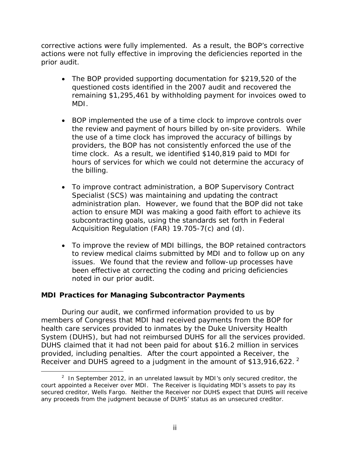corrective actions were fully implemented. As a result, the BOP's corrective actions were not fully effective in improving the deficiencies reported in the prior audit.

- The BOP provided supporting documentation for \$219,520 of the questioned costs identified in the 2007 audit and recovered the remaining \$1,295,461 by withholding payment for invoices owed to MDI.
- BOP implemented the use of a time clock to improve controls over the review and payment of hours billed by on-site providers. While the use of a time clock has improved the accuracy of billings by providers, the BOP has not consistently enforced the use of the time clock. As a result, we identified \$140,819 paid to MDI for hours of services for which we could not determine the accuracy of the billing.
- To improve contract administration, a BOP Supervisory Contract Specialist (SCS) was maintaining and updating the contract administration plan. However, we found that the BOP did not take action to ensure MDI was making a good faith effort to achieve its subcontracting goals, using the standards set forth in Federal Acquisition Regulation (FAR) 19.705-7(c) and (d).
- To improve the review of MDI billings, the BOP retained contractors to review medical claims submitted by MDI and to follow up on any issues. We found that the review and follow-up processes have been effective at correcting the coding and pricing deficiencies noted in our prior audit.

#### **MDI Practices for Managing Subcontractor Payments**

During our audit, we confirmed information provided to us by members of Congress that MDI had received payments from the BOP for health care services provided to inmates by the Duke University Health System (DUHS), but had not reimbursed DUHS for all the services provided. DUHS claimed that it had not been paid for about \$16.2 million in services provided, including penalties. After the court appointed a Receiver, the Receiver and DUHS agreed to a judgment in the amount of \$13,916,622. $^2$ 

<sup>-</sup> secured creditor, Wells Fargo. Neither the Receiver nor DUHS expect that DUHS will receive <sup>2</sup> In September 2012, in an unrelated lawsuit by MDI's only secured creditor, the court appointed a Receiver over MDI. The Receiver is liquidating MDI's assets to pay its any proceeds from the judgment because of DUHS' status as an unsecured creditor.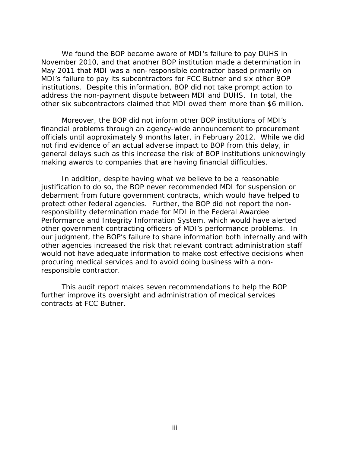We found the BOP became aware of MDI's failure to pay DUHS in November 2010, and that another BOP institution made a determination in May 2011 that MDI was a non-responsible contractor based primarily on MDI's failure to pay its subcontractors for FCC Butner and six other BOP institutions. Despite this information, BOP did not take prompt action to address the non-payment dispute between MDI and DUHS. In total, the other six subcontractors claimed that MDI owed them more than \$6 million.

Moreover, the BOP did not inform other BOP institutions of MDI's financial problems through an agency-wide announcement to procurement officials until approximately 9 months later, in February 2012. While we did not find evidence of an actual adverse impact to BOP from this delay, in general delays such as this increase the risk of BOP institutions unknowingly making awards to companies that are having financial difficulties.

In addition, despite having what we believe to be a reasonable justification to do so, the BOP never recommended MDI for suspension or debarment from future government contracts, which would have helped to protect other federal agencies. Further, the BOP did not report the nonresponsibility determination made for MDI in the Federal Awardee Performance and Integrity Information System, which would have alerted other government contracting officers of MDI's performance problems. In our judgment, the BOP's failure to share information both internally and with other agencies increased the risk that relevant contract administration staff would not have adequate information to make cost effective decisions when procuring medical services and to avoid doing business with a nonresponsible contractor.

This audit report makes seven recommendations to help the BOP further improve its oversight and administration of medical services contracts at FCC Butner.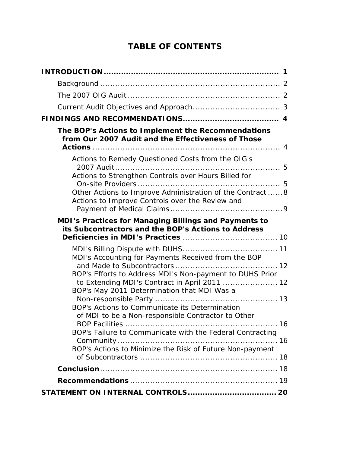## **TABLE OF CONTENTS**

| The BOP's Actions to Implement the Recommendations<br>from Our 2007 Audit and the Effectiveness of Those                                                 |
|----------------------------------------------------------------------------------------------------------------------------------------------------------|
| Actions to Remedy Questioned Costs from the OIG's<br>Actions to Strengthen Controls over Hours Billed for                                                |
| Other Actions to Improve Administration of the Contract 8<br>Actions to Improve Controls over the Review and                                             |
| MDI's Practices for Managing Billings and Payments to<br>its Subcontractors and the BOP's Actions to Address                                             |
| MDI's Accounting for Payments Received from the BOP                                                                                                      |
| BOP's Efforts to Address MDI's Non-payment to DUHS Prior<br>to Extending MDI's Contract in April 2011  12<br>BOP's May 2011 Determination that MDI Was a |
| BOP's Actions to Communicate its Determination<br>of MDI to be a Non-responsible Contractor to Other                                                     |
| BOP's Failure to Communicate with the Federal Contracting                                                                                                |
| BOP's Actions to Minimize the Risk of Future Non-payment                                                                                                 |
|                                                                                                                                                          |
|                                                                                                                                                          |
|                                                                                                                                                          |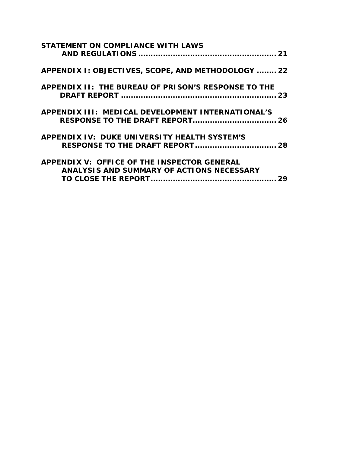| <b>STATEMENT ON COMPLIANCE WITH LAWS</b>                                                        |  |
|-------------------------------------------------------------------------------------------------|--|
| APPENDIX I: OBJECTIVES, SCOPE, AND METHODOLOGY  22                                              |  |
| APPENDIX II: THE BUREAU OF PRISON'S RESPONSE TO THE                                             |  |
| APPENDIX III: MEDICAL DEVELOPMENT INTERNATIONAL'S<br><b>RESPONSE TO THE DRAFT REPORT 26</b>     |  |
| <b>APPENDIX IV: DUKE UNIVERSITY HEALTH SYSTEM'S</b>                                             |  |
| <b>APPENDIX V: OFFICE OF THE INSPECTOR GENERAL</b><br>ANALYSIS AND SUMMARY OF ACTIONS NECESSARY |  |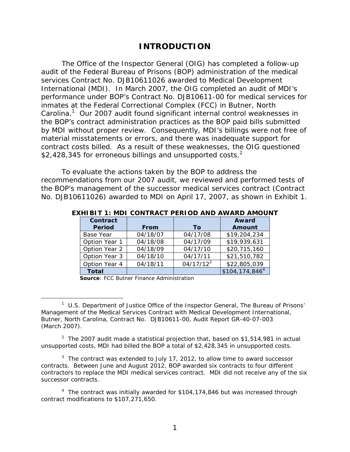### **INTRODUCTION**

\$2,428,345 for erroneous billings and unsupported costs.<sup>2</sup> The Office of the Inspector General (OIG) has completed a follow-up audit of the Federal Bureau of Prisons (BOP) administration of the medical services Contract No. DJB10611026 awarded to Medical Development International (MDI). In March 2007, the OIG completed an audit of MDI's performance under BOP's Contract No. DJB10611-00 for medical services for inmates at the Federal Correctional Complex (FCC) in Butner, North Carolina. $1$  Our 2007 audit found significant internal control weaknesses in the BOP's contract administration practices as the BOP paid bills submitted by MDI without proper review. Consequently, MDI's billings were not free of material misstatements or errors, and there was inadequate support for contract costs billed. As a result of these weaknesses, the OIG questioned

To evaluate the actions taken by the BOP to address the recommendations from our 2007 audit, we reviewed and performed tests of the BOP's management of the successor medical services contract (Contract No. DJB10611026) awarded to MDI on April 17, 2007, as shown in Exhibit 1.

| <b>Contract</b>  |             |              | Award                        |
|------------------|-------------|--------------|------------------------------|
| <b>Period</b>    | <b>From</b> | Τo           | Amount                       |
| <b>Base Year</b> | 04/18/07    | 04/17/08     | \$19,204,234                 |
| Option Year 1    | 04/18/08    | 04/17/09     | \$19,939,631                 |
| Option Year 2    | 04/18/09    | 04/17/10     | \$20,715,160                 |
| Option Year 3    | 04/18/10    | 04/17/11     | \$21,510,782                 |
| Option Year 4    | 04/18/11    | $04/17/12^3$ | \$22,805,039                 |
| <b>Total</b>     |             |              | \$104, 174, 846 <sup>4</sup> |

**EXHIBIT 1: MDI CONTRACT PERIOD AND AWARD AMOUNT** 

**Source**: FCC Butner Finance Administration

 $\overline{a}$ 

<sup>2</sup> The 2007 audit made a statistical projection that, based on \$1,514,981 in actual unsupported costs, MDI had billed the BOP a total of \$2,428,345 in unsupported costs.

 $3$  The contract was extended to July 17, 2012, to allow time to award successor contracts. Between June and August 2012, BOP awarded six contracts to four different contractors to replace the MDI medical services contract. MDI did not receive any of the six successor contracts.

<sup>4</sup> The contract was initially awarded for \$104,174,846 but was increased through contract modifications to \$107,271,650.

<sup>1</sup> U.S. Department of Justice Office of the Inspector General, *The Bureau of Prisons' Management of the Medical Services Contract with Medical Development International, Butner, North Carolina, Contract No. DJB10611-00*, Audit Report GR-40-07-003 (March 2007).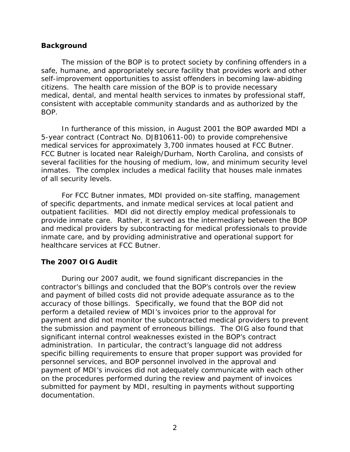#### <span id="page-7-0"></span>**Background**

The mission of the BOP is to protect society by confining offenders in a safe, humane, and appropriately secure facility that provides work and other self-improvement opportunities to assist offenders in becoming law-abiding citizens. The health care mission of the BOP is to provide necessary medical, dental, and mental health services to inmates by professional staff, consistent with acceptable community standards and as authorized by the BOP.

In furtherance of this mission, in August 2001 the BOP awarded MDI a 5-year contract (Contract No. DJB10611-00) to provide comprehensive medical services for approximately 3,700 inmates housed at FCC Butner. FCC Butner is located near Raleigh/Durham, North Carolina, and consists of several facilities for the housing of medium, low, and minimum security level inmates. The complex includes a medical facility that houses male inmates of all security levels.

For FCC Butner inmates, MDI provided on-site staffing, management of specific departments, and inmate medical services at local patient and outpatient facilities. MDI did not directly employ medical professionals to provide inmate care. Rather, it served as the intermediary between the BOP and medical providers by subcontracting for medical professionals to provide inmate care, and by providing administrative and operational support for healthcare services at FCC Butner.

#### **The 2007 OIG Audit**

 contractor's billings and concluded that the BOP's controls over the review During our 2007 audit, we found significant discrepancies in the and payment of billed costs did not provide adequate assurance as to the accuracy of those billings. Specifically, we found that the BOP did not perform a detailed review of MDI's invoices prior to the approval for payment and did not monitor the subcontracted medical providers to prevent the submission and payment of erroneous billings. The OIG also found that significant internal control weaknesses existed in the BOP's contract administration. In particular, the contract's language did not address specific billing requirements to ensure that proper support was provided for personnel services, and BOP personnel involved in the approval and payment of MDI's invoices did not adequately communicate with each other on the procedures performed during the review and payment of invoices submitted for payment by MDI, resulting in payments without supporting documentation.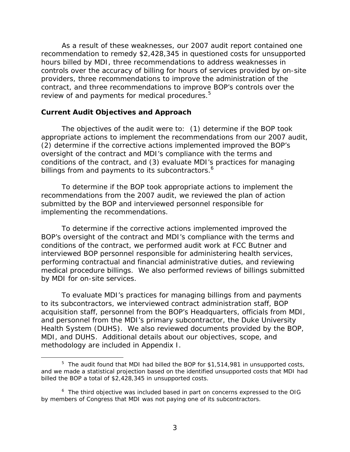<span id="page-8-0"></span>As a result of these weaknesses, our 2007 audit report contained one recommendation to remedy \$2,428,345 in questioned costs for unsupported hours billed by MDI, three recommendations to address weaknesses in controls over the accuracy of billing for hours of services provided by on-site providers, three recommendations to improve the administration of the contract, and three recommendations to improve BOP's controls over the review of and payments for medical procedures.<sup>5</sup>

#### **Current Audit Objectives and Approach**

 $\overline{a}$ 

billings from and payments to its subcontractors.<sup>6</sup> The objectives of the audit were to: (1) determine if the BOP took appropriate actions to implement the recommendations from our 2007 audit, (2) determine if the corrective actions implemented improved the BOP's oversight of the contract and MDI's compliance with the terms and conditions of the contract, and (3) evaluate MDI's practices for managing

To determine if the BOP took appropriate actions to implement the recommendations from the 2007 audit, we reviewed the plan of action submitted by the BOP and interviewed personnel responsible for implementing the recommendations.

To determine if the corrective actions implemented improved the BOP's oversight of the contract and MDI's compliance with the terms and conditions of the contract, we performed audit work at FCC Butner and interviewed BOP personnel responsible for administering health services, performing contractual and financial administrative duties, and reviewing medical procedure billings. We also performed reviews of billings submitted by MDI for on-site services.

To evaluate MDI's practices for managing billings from and payments to its subcontractors, we interviewed contract administration staff, BOP acquisition staff, personnel from the BOP's Headquarters, officials from MDI, and personnel from the MDI's primary subcontractor, the Duke University Health System (DUHS). We also reviewed documents provided by the BOP, MDI, and DUHS. Additional details about our objectives, scope, and methodology are included in Appendix I.

 $5$  The audit found that MDI had billed the BOP for \$1,514,981 in unsupported costs, and we made a statistical projection based on the identified unsupported costs that MDI had billed the BOP a total of \$2,428,345 in unsupported costs.

<sup>&</sup>lt;sup>6</sup> The third objective was included based in part on concerns expressed to the OIG by members of Congress that MDI was not paying one of its subcontractors.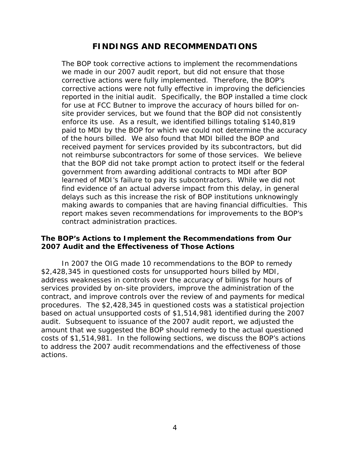### **FINDINGS AND RECOMMENDATIONS**

<span id="page-9-0"></span>The BOP took corrective actions to implement the recommendations we made in our 2007 audit report, but did not ensure that those corrective actions were fully implemented. Therefore, the BOP's corrective actions were not fully effective in improving the deficiencies reported in the initial audit. Specifically, the BOP installed a time clock for use at FCC Butner to improve the accuracy of hours billed for onsite provider services, but we found that the BOP did not consistently enforce its use. As a result, we identified billings totaling \$140,819 paid to MDI by the BOP for which we could not determine the accuracy of the hours billed. We also found that MDI billed the BOP and received payment for services provided by its subcontractors, but did not reimburse subcontractors for some of those services. We believe that the BOP did not take prompt action to protect itself or the federal government from awarding additional contracts to MDI after BOP learned of MDI's failure to pay its subcontractors. While we did not find evidence of an actual adverse impact from this delay, in general delays such as this increase the risk of BOP institutions unknowingly making awards to companies that are having financial difficulties. This report makes seven recommendations for improvements to the BOP's contract administration practices.

#### **The BOP's Actions to Implement the Recommendations from Our 2007 Audit and the Effectiveness of Those Actions**

In 2007 the OIG made 10 recommendations to the BOP to remedy \$2,428,345 in questioned costs for unsupported hours billed by MDI, address weaknesses in controls over the accuracy of billings for hours of services provided by on-site providers, improve the administration of the contract, and improve controls over the review of and payments for medical procedures. The \$2,428,345 in questioned costs was a statistical projection based on actual unsupported costs of \$1,514,981 identified during the 2007 audit. Subsequent to issuance of the 2007 audit report, we adjusted the amount that we suggested the BOP should remedy to the actual questioned costs of \$1,514,981. In the following sections, we discuss the BOP's actions to address the 2007 audit recommendations and the effectiveness of those actions.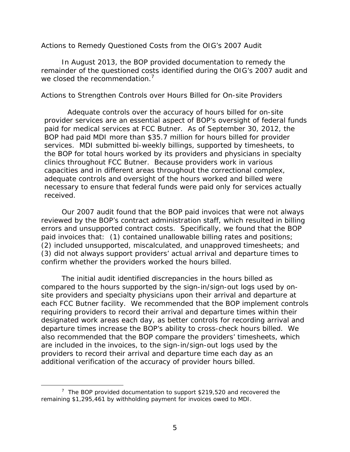#### <span id="page-10-0"></span>*Actions to Remedy Questioned Costs from the OIG's 2007 Audit*

we closed the recommendation. $7$ In August 2013, the BOP provided documentation to remedy the remainder of the questioned costs identified during the OIG's 2007 audit and

#### *Actions to Strengthen Controls over Hours Billed for On-site Providers*

Adequate controls over the accuracy of hours billed for on-site provider services are an essential aspect of BOP's oversight of federal funds paid for medical services at FCC Butner. As of September 30, 2012, the BOP had paid MDI more than \$35.7 million for hours billed for provider services. MDI submitted bi-weekly billings, supported by timesheets, to the BOP for total hours worked by its providers and physicians in specialty clinics throughout FCC Butner. Because providers work in various capacities and in different areas throughout the correctional complex, adequate controls and oversight of the hours worked and billed were necessary to ensure that federal funds were paid only for services actually received.

Our 2007 audit found that the BOP paid invoices that were not always reviewed by the BOP's contract administration staff, which resulted in billing errors and unsupported contract costs. Specifically, we found that the BOP paid invoices that: (1) contained unallowable billing rates and positions; (2) included unsupported, miscalculated, and unapproved timesheets; and (3) did not always support providers' actual arrival and departure times to confirm whether the providers worked the hours billed.

The initial audit identified discrepancies in the hours billed as compared to the hours supported by the sign-in/sign-out logs used by onsite providers and specialty physicians upon their arrival and departure at each FCC Butner facility. We recommended that the BOP implement controls requiring providers to record their arrival and departure times within their designated work areas each day, as better controls for recording arrival and departure times increase the BOP's ability to cross-check hours billed. We also recommended that the BOP compare the providers' timesheets, which are included in the invoices, to the sign-in/sign-out logs used by the providers to record their arrival and departure time each day as an additional verification of the accuracy of provider hours billed.

 $7$  The BOP provided documentation to support \$219,520 and recovered the remaining \$1,295,461 by withholding payment for invoices owed to MDI.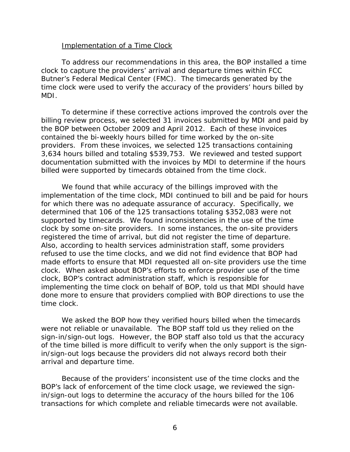#### Implementation of a Time Clock

To address our recommendations in this area, the BOP installed a time clock to capture the providers' arrival and departure times within FCC Butner's Federal Medical Center (FMC). The timecards generated by the time clock were used to verify the accuracy of the providers' hours billed by MDI.

billed were supported by timecards obtained from the time clock. To determine if these corrective actions improved the controls over the billing review process, we selected 31 invoices submitted by MDI and paid by the BOP between October 2009 and April 2012. Each of these invoices contained the bi-weekly hours billed for time worked by the on-site providers. From these invoices, we selected 125 transactions containing 3,634 hours billed and totaling \$539,753. We reviewed and tested support documentation submitted with the invoices by MDI to determine if the hours

We found that while accuracy of the billings improved with the implementation of the time clock, MDI continued to bill and be paid for hours for which there was no adequate assurance of accuracy. Specifically, we determined that 106 of the 125 transactions totaling \$352,083 were not supported by timecards. We found inconsistencies in the use of the time clock by some on-site providers. In some instances, the on-site providers registered the time of arrival, but did not register the time of departure. Also, according to health services administration staff, some providers refused to use the time clocks, and we did not find evidence that BOP had made efforts to ensure that MDI requested all on-site providers use the time clock. When asked about BOP's efforts to enforce provider use of the time clock, BOP's contract administration staff, which is responsible for implementing the time clock on behalf of BOP, told us that MDI should have done more to ensure that providers complied with BOP directions to use the time clock.

We asked the BOP how they verified hours billed when the timecards were not reliable or unavailable. The BOP staff told us they relied on the sign-in/sign-out logs. However, the BOP staff also told us that the accuracy of the time billed is more difficult to verify when the only support is the signin/sign-out logs because the providers did not always record both their arrival and departure time.

Because of the providers' inconsistent use of the time clocks and the BOP's lack of enforcement of the time clock usage, we reviewed the signin/sign-out logs to determine the accuracy of the hours billed for the 106 transactions for which complete and reliable timecards were not available.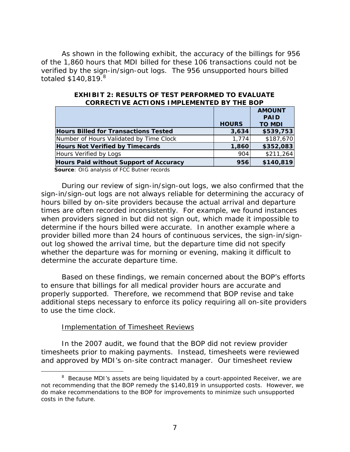totaled  $$140,819$ . $^{8}$ As shown in the following exhibit, the accuracy of the billings for 956 of the 1,860 hours that MDI billed for these 106 transactions could not be verified by the sign-in/sign-out logs. The 956 unsupported hours billed

|                                               | <b>HOURS</b> | <b>AMOUNT</b><br><b>PAID</b><br><b>TO MDI</b> |
|-----------------------------------------------|--------------|-----------------------------------------------|
| <b>Hours Billed for Transactions Tested</b>   | 3,634        | \$539,753                                     |
| Number of Hours Validated by Time Clock       | 1,774        | \$187,670                                     |
| <b>Hours Not Verified by Timecards</b>        | 1,860        | \$352,083                                     |
| Hours Verified by Logs                        | 904          | \$211,264                                     |
| <b>Hours Paid without Support of Accuracy</b> | 956          | \$140,819                                     |

**EXHIBIT 2: RESULTS OF TEST PERFORMED TO EVALUATECORRECTIVE ACTIONS IMPLEMENTED BY THE BOP** 

**Source**: OIG analysis of FCC Butner records

During our review of sign-in/sign-out logs, we also confirmed that the sign-in/sign-out logs are not always reliable for determining the accuracy of hours billed by on-site providers because the actual arrival and departure times are often recorded inconsistently. For example, we found instances when providers signed in but did not sign out, which made it impossible to determine if the hours billed were accurate. In another example where a provider billed more than 24 hours of continuous services, the sign-in/signout log showed the arrival time, but the departure time did not specify whether the departure was for morning or evening, making it difficult to determine the accurate departure time.

Based on these findings, we remain concerned about the BOP's efforts to ensure that billings for all medical provider hours are accurate and properly supported. Therefore, we recommend that BOP revise and take additional steps necessary to enforce its policy requiring all on-site providers to use the time clock.

#### Implementation of Timesheet Reviews

 $\overline{a}$ 

In the 2007 audit, we found that the BOP did not review provider timesheets prior to making payments. Instead, timesheets were reviewed and approved by MDI's on-site contract manager. Our timesheet review

<sup>&</sup>lt;sup>8</sup> Because MDI's assets are being liquidated by a court-appointed Receiver, we are not recommending that the BOP remedy the \$140,819 in unsupported costs. However, we do make recommendations to the BOP for improvements to minimize such unsupported costs in the future.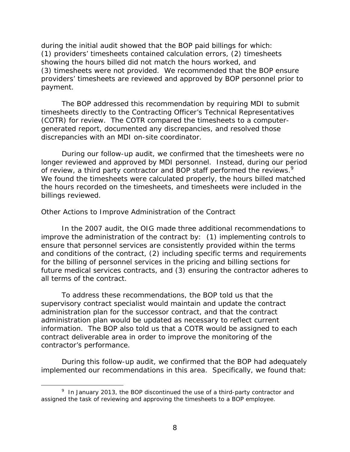<span id="page-13-0"></span>payment. during the initial audit showed that the BOP paid billings for which: (1) providers' timesheets contained calculation errors, (2) timesheets showing the hours billed did not match the hours worked, and (3) timesheets were not provided. We recommended that the BOP ensure providers' timesheets are reviewed and approved by BOP personnel prior to

The BOP addressed this recommendation by requiring MDI to submit timesheets directly to the Contracting Officer's Technical Representatives (COTR) for review. The COTR compared the timesheets to a computergenerated report, documented any discrepancies, and resolved those discrepancies with an MDI on-site coordinator.

of review, a third party contractor and BOP staff performed the reviews.<sup>9</sup> During our follow-up audit, we confirmed that the timesheets were no longer reviewed and approved by MDI personnel. Instead, during our period We found the timesheets were calculated properly, the hours billed matched the hours recorded on the timesheets, and timesheets were included in the billings reviewed.

#### *Other Actions to Improve Administration of the Contract*

In the 2007 audit, the OIG made three additional recommendations to improve the administration of the contract by: (1) implementing controls to ensure that personnel services are consistently provided within the terms and conditions of the contract, (2) including specific terms and requirements for the billing of personnel services in the pricing and billing sections for future medical services contracts, and (3) ensuring the contractor adheres to all terms of the contract.

To address these recommendations, the BOP told us that the supervisory contract specialist would maintain and update the contract administration plan for the successor contract, and that the contract administration plan would be updated as necessary to reflect current information. The BOP also told us that a COTR would be assigned to each contract deliverable area in order to improve the monitoring of the contractor's performance.

During this follow-up audit, we confirmed that the BOP had adequately implemented our recommendations in this area. Specifically, we found that:

 $9$  In January 2013, the BOP discontinued the use of a third-party contractor and assigned the task of reviewing and approving the timesheets to a BOP employee.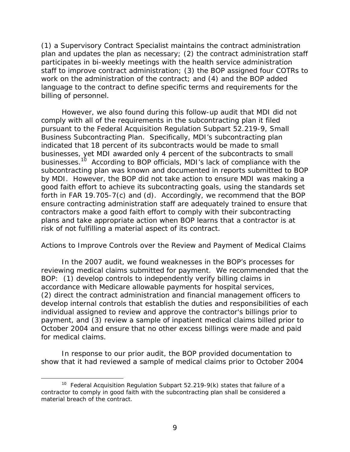<span id="page-14-0"></span>(1) a Supervisory Contract Specialist maintains the contract administration plan and updates the plan as necessary; (2) the contract administration staff participates in bi-weekly meetings with the health service administration staff to improve contract administration; (3) the BOP assigned four COTRs to work on the administration of the contract; and (4) and the BOP added language to the contract to define specific terms and requirements for the billing of personnel.

However, we also found during this follow-up audit that MDI did not comply with all of the requirements in the subcontracting plan it filed pursuant to the Federal Acquisition Regulation Subpart 52.219-9, Small Business Subcontracting Plan. Specifically, MDI's subcontracting plan indicated that 18 percent of its subcontracts would be made to small businesses, yet MDI awarded only 4 percent of the subcontracts to small businesses.<sup>10</sup> According to BOP officials, MDI's lack of compliance with the subcontracting plan was known and documented in reports submitted to BOP by MDI. However, the BOP did not take action to ensure MDI was making a good faith effort to achieve its subcontracting goals, using the standards set forth in FAR 19.705-7(c) and (d). Accordingly, we recommend that the BOP ensure contracting administration staff are adequately trained to ensure that contractors make a good faith effort to comply with their subcontracting plans and take appropriate action when BOP learns that a contractor is at risk of not fulfilling a material aspect of its contract.

#### *Actions to Improve Controls over the Review and Payment of Medical Claims*

In the 2007 audit, we found weaknesses in the BOP's processes for reviewing medical claims submitted for payment. We recommended that the BOP: (1) develop controls to independently verify billing claims in accordance with Medicare allowable payments for hospital services, (2) direct the contract administration and financial management officers to develop internal controls that establish the duties and responsibilities of each individual assigned to review and approve the contractor's billings prior to payment, and (3) review a sample of inpatient medical claims billed prior to October 2004 and ensure that no other excess billings were made and paid for medical claims.

In response to our prior audit, the BOP provided documentation to show that it had reviewed a sample of medical claims prior to October 2004

<sup>&</sup>lt;sup>10</sup> Federal Acquisition Regulation Subpart 52.219-9(k) states that failure of a contractor to comply in good faith with the subcontracting plan shall be considered a material breach of the contract.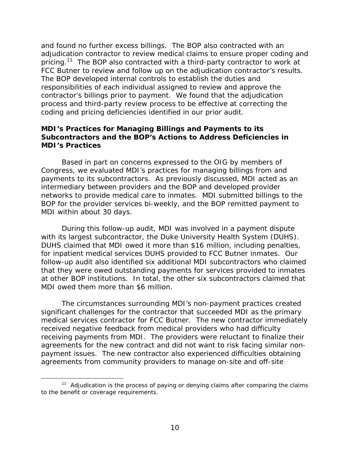<span id="page-15-0"></span>and found no further excess billings. The BOP also contracted with an adjudication contractor to review medical claims to ensure proper coding and pricing.<sup>11</sup> The BOP also contracted with a third-party contractor to work at FCC Butner to review and follow up on the adjudication contractor's results. The BOP developed internal controls to establish the duties and responsibilities of each individual assigned to review and approve the contractor's billings prior to payment. We found that the adjudication process and third-party review process to be effective at correcting the coding and pricing deficiencies identified in our prior audit.

#### **MDI's Practices for Managing Billings and Payments to its Subcontractors and the BOP's Actions to Address Deficiencies in MDI's Practices**

Based in part on concerns expressed to the OIG by members of Congress, we evaluated MDI's practices for managing billings from and payments to its subcontractors. As previously discussed, MDI acted as an intermediary between providers and the BOP and developed provider networks to provide medical care to inmates. MDI submitted billings to the BOP for the provider services bi-weekly, and the BOP remitted payment to MDI within about 30 days.

During this follow-up audit, MDI was involved in a payment dispute with its largest subcontractor, the Duke University Health System (DUHS). DUHS claimed that MDI owed it more than \$16 million, including penalties, for inpatient medical services DUHS provided to FCC Butner inmates. Our follow-up audit also identified six additional MDI subcontractors who claimed that they were owed outstanding payments for services provided to inmates at other BOP institutions. In total, the other six subcontractors claimed that MDI owed them more than \$6 million.

The circumstances surrounding MDI's non-payment practices created significant challenges for the contractor that succeeded MDI as the primary medical services contractor for FCC Butner. The new contractor immediately received negative feedback from medical providers who had difficulty receiving payments from MDI. The providers were reluctant to finalize their agreements for the new contract and did not want to risk facing similar nonpayment issues. The new contractor also experienced difficulties obtaining agreements from community providers to manage on-site and off-site

to the benefit or coverage requirements.<br>10 <sup>11</sup> Adjudication is the process of paying or denying claims after comparing the claims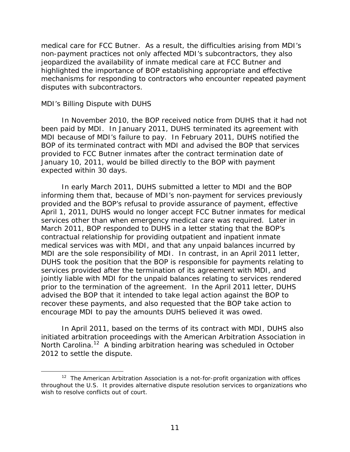<span id="page-16-0"></span>medical care for FCC Butner. As a result, the difficulties arising from MDI's non-payment practices not only affected MDI's subcontractors, they also jeopardized the availability of inmate medical care at FCC Butner and highlighted the importance of BOP establishing appropriate and effective mechanisms for responding to contractors who encounter repeated payment disputes with subcontractors.

#### *MDI's Billing Dispute with DUHS*

 $\overline{a}$ 

In November 2010, the BOP received notice from DUHS that it had not been paid by MDI. In January 2011, DUHS terminated its agreement with MDI because of MDI's failure to pay. In February 2011, DUHS notified the BOP of its terminated contract with MDI and advised the BOP that services provided to FCC Butner inmates after the contract termination date of January 10, 2011, would be billed directly to the BOP with payment expected within 30 days.

In early March 2011, DUHS submitted a letter to MDI and the BOP informing them that, because of MDI's non-payment for services previously provided and the BOP's refusal to provide assurance of payment, effective April 1, 2011, DUHS would no longer accept FCC Butner inmates for medical services other than when emergency medical care was required. Later in March 2011, BOP responded to DUHS in a letter stating that the BOP's contractual relationship for providing outpatient and inpatient inmate medical services was with MDI, and that any unpaid balances incurred by MDI are the sole responsibility of MDI. In contrast, in an April 2011 letter, DUHS took the position that the BOP is responsible for payments relating to services provided after the termination of its agreement with MDI, and jointly liable with MDI for the unpaid balances relating to services rendered prior to the termination of the agreement. In the April 2011 letter, DUHS advised the BOP that it intended to take legal action against the BOP to recover these payments, and also requested that the BOP take action to encourage MDI to pay the amounts DUHS believed it was owed.

In April 2011, based on the terms of its contract with MDI, DUHS also initiated arbitration proceedings with the American Arbitration Association in North Carolina.<sup>12</sup> A binding arbitration hearing was scheduled in October 2012 to settle the dispute.

 throughout the U.S. It provides alternative dispute resolution services to organizations who  $12$  The American Arbitration Association is a not-for-profit organization with offices wish to resolve conflicts out of court.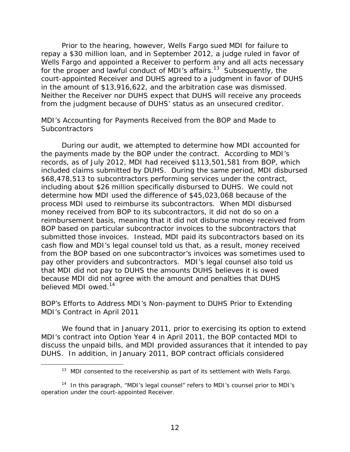<span id="page-17-0"></span>Prior to the hearing, however, Wells Fargo sued MDI for failure to repay a \$30 million loan, and in September 2012, a judge ruled in favor of Wells Fargo and appointed a Receiver to perform any and all acts necessary for the proper and lawful conduct of MDI's affairs.<sup>13</sup> Subsequently, the court-appointed Receiver and DUHS agreed to a judgment in favor of DUHS in the amount of \$13,916,622, and the arbitration case was dismissed. Neither the Receiver nor DUHS expect that DUHS will receive any proceeds from the judgment because of DUHS' status as an unsecured creditor.

#### *MDI's Accounting for Payments Received from the BOP and Made to Subcontractors*

believed MDI owed.<sup>14</sup> During our audit, we attempted to determine how MDI accounted for the payments made by the BOP under the contract. According to MDI's records, as of July 2012, MDI had received \$113,501,581 from BOP, which included claims submitted by DUHS. During the same period, MDI disbursed \$68,478,513 to subcontractors performing services under the contract, including about \$26 million specifically disbursed to DUHS. We could not determine how MDI used the difference of \$45,023,068 because of the process MDI used to reimburse its subcontractors. When MDI disbursed money received from BOP to its subcontractors, it did not do so on a reimbursement basis, meaning that it did not disburse money received from BOP based on particular subcontractor invoices to the subcontractors that submitted those invoices. Instead, MDI paid its subcontractors based on its cash flow and MDI's legal counsel told us that, as a result, money received from the BOP based on one subcontractor's invoices was sometimes used to pay other providers and subcontractors. MDI's legal counsel also told us that MDI did not pay to DUHS the amounts DUHS believes it is owed because MDI did not agree with the amount and penalties that DUHS

#### *BOP's Efforts to Address MDI's Non-payment to DUHS Prior to Extending MDI's Contract in April 2011*

We found that in January 2011, prior to exercising its option to extend MDI's contract into Option Year 4 in April 2011, the BOP contacted MDI to discuss the unpaid bills, and MDI provided assurances that it intended to pay DUHS. In addition, in January 2011, BOP contract officials considered

 $13$  MDI consented to the receivership as part of its settlement with Wells Fargo.

 $14$  In this paragraph, "MDI's legal counsel" refers to MDI's counsel prior to MDI's operation under the court-appointed Receiver.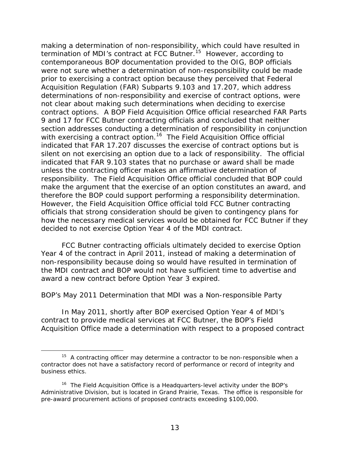<span id="page-18-0"></span>making a determination of non-responsibility, which could have resulted in termination of MDI's contract at FCC Butner.<sup>15</sup> However, according to contemporaneous BOP documentation provided to the OIG, BOP officials were not sure whether a determination of non-responsibility could be made prior to exercising a contract option because they perceived that Federal Acquisition Regulation (FAR) Subparts 9.103 and 17.207, which address determinations of non-responsibility and exercise of contract options, were not clear about making such determinations when deciding to exercise contract options. A BOP Field Acquisition Office official researched FAR Parts 9 and 17 for FCC Butner contracting officials and concluded that neither section addresses conducting a determination of responsibility in conjunction with exercising a contract option.<sup>16</sup> The Field Acquisition Office official indicated that FAR 17.207 discusses the exercise of contract options but is silent on not exercising an option due to a lack of responsibility. The official indicated that FAR 9.103 states that no purchase or award shall be made unless the contracting officer makes an affirmative determination of responsibility. The Field Acquisition Office official concluded that BOP could make the argument that the exercise of an option constitutes an award, and therefore the BOP could support performing a responsibility determination. However, the Field Acquisition Office official told FCC Butner contracting officials that strong consideration should be given to contingency plans for how the necessary medical services would be obtained for FCC Butner if they decided to not exercise Option Year 4 of the MDI contract.

FCC Butner contracting officials ultimately decided to exercise Option Year 4 of the contract in April 2011, instead of making a determination of non-responsibility because doing so would have resulted in termination of the MDI contract and BOP would not have sufficient time to advertise and award a new contract before Option Year 3 expired.

#### *BOP's May 2011 Determination that MDI was a Non-responsible Party*

In May 2011, shortly after BOP exercised Option Year 4 of MDI's contract to provide medical services at FCC Butner, the BOP's Field Acquisition Office made a determination with respect to a proposed contract

 $15$  A contracting officer may determine a contractor to be non-responsible when a contractor does not have a satisfactory record of performance or record of integrity and business ethics.

<sup>&</sup>lt;sup>16</sup> The Field Acquisition Office is a Headquarters-level activity under the BOP's Administrative Division, but is located in Grand Prairie, Texas. The office is responsible for pre-award procurement actions of proposed contracts exceeding \$100,000.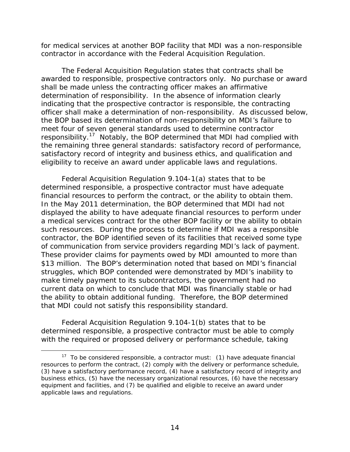for medical services at another BOP facility that MDI was a non-responsible contractor in accordance with the Federal Acquisition Regulation.

The Federal Acquisition Regulation states that contracts shall be awarded to responsible, prospective contractors only. No purchase or award shall be made unless the contracting officer makes an affirmative determination of responsibility. In the absence of information clearly indicating that the prospective contractor is responsible, the contracting officer shall make a determination of non-responsibility. As discussed below, the BOP based its determination of non-responsibility on MDI's failure to meet four of seven general standards used to determine contractor responsibility.17 Notably, the BOP determined that MDI had complied with the remaining three general standards: satisfactory record of performance, satisfactory record of integrity and business ethics, and qualification and eligibility to receive an award under applicable laws and regulations.

Federal Acquisition Regulation 9.104-1(a) states that to be determined responsible, a prospective contractor must have adequate financial resources to perform the contract, or the ability to obtain them. In the May 2011 determination, the BOP determined that MDI had not displayed the ability to have adequate financial resources to perform under a medical services contract for the other BOP facility or the ability to obtain such resources. During the process to determine if MDI was a responsible contractor, the BOP identified seven of its facilities that received some type of communication from service providers regarding MDI's lack of payment. These provider claims for payments owed by MDI amounted to more than \$13 million. The BOP's determination noted that based on MDI's financial struggles, which BOP contended were demonstrated by MDI's inability to make timely payment to its subcontractors, the government had no current data on which to conclude that MDI was financially stable or had the ability to obtain additional funding. Therefore, the BOP determined that MDI could not satisfy this responsibility standard.

Federal Acquisition Regulation 9.104-1(b) states that to be determined responsible, a prospective contractor must be able to comply with the required or proposed delivery or performance schedule, taking

applicable laws and regulations.  $17$  To be considered responsible, a contractor must: (1) have adequate financial resources to perform the contract, (2) comply with the delivery or performance schedule, (3) have a satisfactory performance record, (4) have a satisfactory record of integrity and business ethics, (5) have the necessary organizational resources, (6) have the necessary equipment and facilities, and (7) be qualified and eligible to receive an award under applicable laws and regulations.<br>14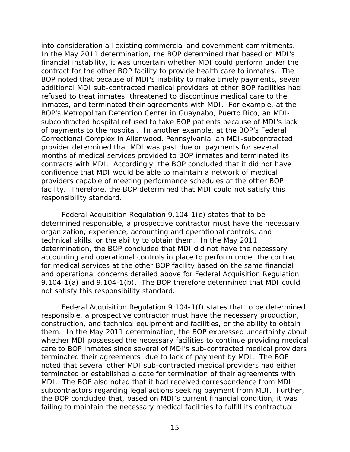into consideration all existing commercial and government commitments. In the May 2011 determination, the BOP determined that based on MDI's financial instability, it was uncertain whether MDI could perform under the contract for the other BOP facility to provide health care to inmates. The BOP noted that because of MDI's inability to make timely payments, seven additional MDI sub-contracted medical providers at other BOP facilities had refused to treat inmates, threatened to discontinue medical care to the inmates, and terminated their agreements with MDI. For example, at the BOP's Metropolitan Detention Center in Guaynabo, Puerto Rico, an MDIsubcontracted hospital refused to take BOP patients because of MDI's lack of payments to the hospital. In another example, at the BOP's Federal Correctional Complex in Allenwood, Pennsylvania, an MDI-subcontracted provider determined that MDI was past due on payments for several months of medical services provided to BOP inmates and terminated its contracts with MDI. Accordingly, the BOP concluded that it did not have confidence that MDI would be able to maintain a network of medical providers capable of meeting performance schedules at the other BOP facility. Therefore, the BOP determined that MDI could not satisfy this responsibility standard.

Federal Acquisition Regulation 9.104-1(e) states that to be determined responsible, a prospective contractor must have the necessary organization, experience, accounting and operational controls, and technical skills, or the ability to obtain them. In the May 2011 determination, the BOP concluded that MDI did not have the necessary accounting and operational controls in place to perform under the contract for medical services at the other BOP facility based on the same financial and operational concerns detailed above for Federal Acquisition Regulation 9.104-1(a) and 9.104-1(b). The BOP therefore determined that MDI could not satisfy this responsibility standard.

Federal Acquisition Regulation 9.104-1(f) states that to be determined responsible, a prospective contractor must have the necessary production, construction, and technical equipment and facilities, or the ability to obtain them. In the May 2011 determination, the BOP expressed uncertainty about whether MDI possessed the necessary facilities to continue providing medical care to BOP inmates since several of MDI's sub-contracted medical providers terminated their agreements due to lack of payment by MDI. The BOP noted that several other MDI sub-contracted medical providers had either terminated or established a date for termination of their agreements with MDI. The BOP also noted that it had received correspondence from MDI subcontractors regarding legal actions seeking payment from MDI. Further, the BOP concluded that, based on MDI's current financial condition, it was failing to maintain the necessary medical facilities to fulfill its contractual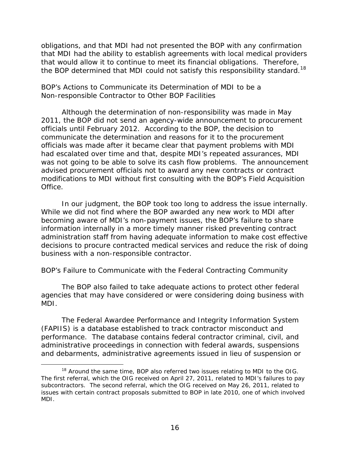<span id="page-21-0"></span>obligations, and that MDI had not presented the BOP with any confirmation that MDI had the ability to establish agreements with local medical providers that would allow it to continue to meet its financial obligations. Therefore, the BOP determined that MDI could not satisfy this responsibility standard.<sup>18</sup>

#### *BOP's Actions to Communicate its Determination of MDI to be a Non-responsible Contractor to Other BOP Facilities*

Although the determination of non-responsibility was made in May 2011, the BOP did not send an agency-wide announcement to procurement officials until February 2012. According to the BOP, the decision to communicate the determination and reasons for it to the procurement officials was made after it became clear that payment problems with MDI had escalated over time and that, despite MDI's repeated assurances, MDI was not going to be able to solve its cash flow problems. The announcement advised procurement officials not to award any new contracts or contract modifications to MDI without first consulting with the BOP's Field Acquisition Office.

In our judgment, the BOP took too long to address the issue internally. While we did not find where the BOP awarded any new work to MDI after becoming aware of MDI's non-payment issues, the BOP's failure to share information internally in a more timely manner risked preventing contract administration staff from having adequate information to make cost effective decisions to procure contracted medical services and reduce the risk of doing business with a non-responsible contractor.

#### *BOP's Failure to Communicate with the Federal Contracting Community*

The BOP also failed to take adequate actions to protect other federal agencies that may have considered or were considering doing business with MDI.

The Federal Awardee Performance and Integrity Information System (FAPIIS) is a database established to track contractor misconduct and performance. The database contains federal contractor criminal, civil, and administrative proceedings in connection with federal awards, suspensions and debarments, administrative agreements issued in lieu of suspension or

MDI.  $18$  Around the same time, BOP also referred two issues relating to MDI to the OIG. The first referral, which the OIG received on April 27, 2011, related to MDI's failures to pay subcontractors. The second referral, which the OIG received on May 26, 2011, related to issues with certain contract proposals submitted to BOP in late 2010, one of which involved MDI. $\frac{16}{16}$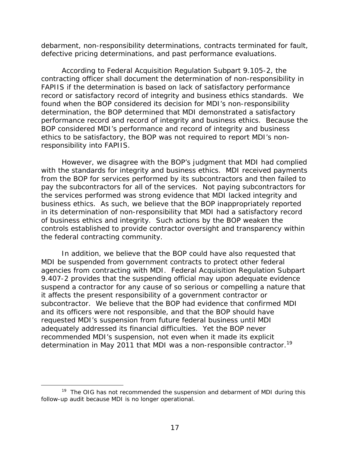debarment, non-responsibility determinations, contracts terminated for fault, defective pricing determinations, and past performance evaluations.

According to Federal Acquisition Regulation Subpart 9.105-2, the contracting officer shall document the determination of non-responsibility in FAPIIS if the determination is based on lack of satisfactory performance record or satisfactory record of integrity and business ethics standards. We found when the BOP considered its decision for MDI's non-responsibility determination, the BOP determined that MDI demonstrated a satisfactory performance record and record of integrity and business ethics. Because the BOP considered MDI's performance and record of integrity and business ethics to be satisfactory, the BOP was not required to report MDI's nonresponsibility into FAPIIS.

However, we disagree with the BOP's judgment that MDI had complied with the standards for integrity and business ethics. MDI received payments from the BOP for services performed by its subcontractors and then failed to pay the subcontractors for all of the services. Not paying subcontractors for the services performed was strong evidence that MDI lacked integrity and business ethics. As such, we believe that the BOP inappropriately reported in its determination of non-responsibility that MDI had a satisfactory record of business ethics and integrity. Such actions by the BOP weaken the controls established to provide contractor oversight and transparency within the federal contracting community.

determination in May 2011 that MDI was a non-responsible contractor.<sup>19</sup> In addition, we believe that the BOP could have also requested that MDI be suspended from government contracts to protect other federal agencies from contracting with MDI. Federal Acquisition Regulation Subpart 9.407-2 provides that the suspending official may upon adequate evidence suspend a contractor for any cause of so serious or compelling a nature that it affects the present responsibility of a government contractor or subcontractor. We believe that the BOP had evidence that confirmed MDI and its officers were not responsible, and that the BOP should have requested MDI's suspension from future federal business until MDI adequately addressed its financial difficulties. Yet the BOP never recommended MDI's suspension, not even when it made its explicit

-

 $19$  The OIG has not recommended the suspension and debarment of MDI during this follow-up audit because MDI is no longer operational.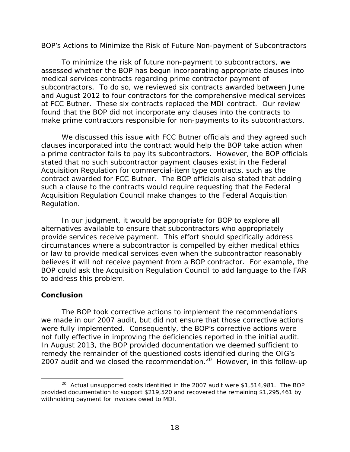#### <span id="page-23-0"></span>*BOP's Actions to Minimize the Risk of Future Non-payment of Subcontractors*

To minimize the risk of future non-payment to subcontractors, we assessed whether the BOP has begun incorporating appropriate clauses into medical services contracts regarding prime contractor payment of subcontractors. To do so, we reviewed six contracts awarded between June and August 2012 to four contractors for the comprehensive medical services at FCC Butner. These six contracts replaced the MDI contract. Our review found that the BOP did not incorporate any clauses into the contracts to make prime contractors responsible for non-payments to its subcontractors.

We discussed this issue with FCC Butner officials and they agreed such clauses incorporated into the contract would help the BOP take action when a prime contractor fails to pay its subcontractors. However, the BOP officials stated that no such subcontractor payment clauses exist in the Federal Acquisition Regulation for commercial-item type contracts, such as the contract awarded for FCC Butner. The BOP officials also stated that adding such a clause to the contracts would require requesting that the Federal Acquisition Regulation Council make changes to the Federal Acquisition Regulation.

In our judgment, it would be appropriate for BOP to explore all alternatives available to ensure that subcontractors who appropriately provide services receive payment. This effort should specifically address circumstances where a subcontractor is compelled by either medical ethics or law to provide medical services even when the subcontractor reasonably believes it will not receive payment from a BOP contractor. For example, the BOP could ask the Acquisition Regulation Council to add language to the FAR to address this problem.

#### **Conclusion**

 $\overline{a}$ 

The BOP took corrective actions to implement the recommendations we made in our 2007 audit, but did not ensure that those corrective actions were fully implemented. Consequently, the BOP's corrective actions were not fully effective in improving the deficiencies reported in the initial audit. In August 2013, the BOP provided documentation we deemed sufficient to remedy the remainder of the questioned costs identified during the OIG's 2007 audit and we closed the recommendation.<sup>20</sup> However, in this follow-up

 $20$  Actual unsupported costs identified in the 2007 audit were \$1,514,981. The BOP provided documentation to support \$219,520 and recovered the remaining \$1,295,461 by withholding payment for invoices owed to MDI.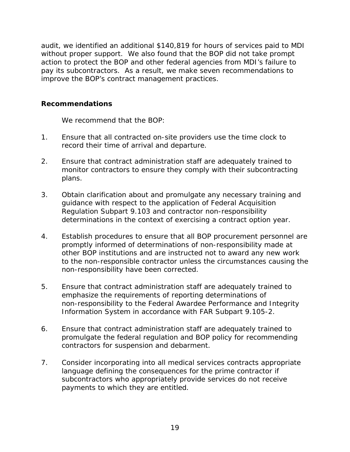<span id="page-24-0"></span>audit, we identified an additional \$140,819 for hours of services paid to MDI without proper support. We also found that the BOP did not take prompt action to protect the BOP and other federal agencies from MDI's failure to pay its subcontractors. As a result, we make seven recommendations to improve the BOP's contract management practices.

### **Recommendations**

We recommend that the BOP:

- $1<sub>1</sub>$ Ensure that all contracted on-site providers use the time clock to record their time of arrival and departure.
- $2<sub>1</sub>$ Ensure that contract administration staff are adequately trained to monitor contractors to ensure they comply with their subcontracting plans.
- $3.$ Obtain clarification about and promulgate any necessary training and guidance with respect to the application of Federal Acquisition Regulation Subpart 9.103 and contractor non-responsibility determinations in the context of exercising a contract option year.
- $\overline{4}$ . Establish procedures to ensure that all BOP procurement personnel are promptly informed of determinations of non-responsibility made at other BOP institutions and are instructed not to award any new work to the non-responsible contractor unless the circumstances causing the non-responsibility have been corrected.
- $5<sub>1</sub>$ 5.Ensure that contract administration staff are adequately trained to emphasize the requirements of reporting determinations of non-responsibility to the Federal Awardee Performance and Integrity Information System in accordance with FAR Subpart 9.105-2.
- $6.$ Ensure that contract administration staff are adequately trained to promulgate the federal regulation and BOP policy for recommending contractors for suspension and debarment.
- $7<sub>1</sub>$ 7.Consider incorporating into all medical services contracts appropriate language defining the consequences for the prime contractor if subcontractors who appropriately provide services do not receive payments to which they are entitled.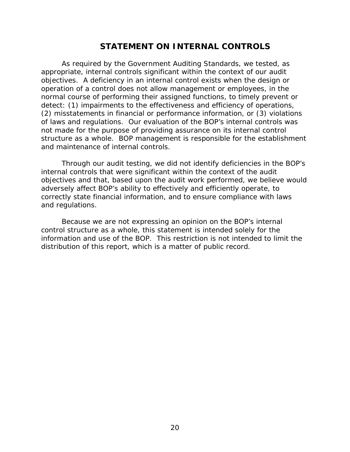### **STATEMENT ON INTERNAL CONTROLS**

<span id="page-25-0"></span>As required by the *Government Auditing Standards*, we tested, as appropriate, internal controls significant within the context of our audit objectives. A deficiency in an internal control exists when the design or operation of a control does not allow management or employees, in the normal course of performing their assigned functions, to timely prevent or detect: (1) impairments to the effectiveness and efficiency of operations, (2) misstatements in financial or performance information, or (3) violations of laws and regulations. Our evaluation of the BOP's internal controls was not made for the purpose of providing assurance on its internal control structure as a whole. BOP management is responsible for the establishment and maintenance of internal controls.

Through our audit testing, we did not identify deficiencies in the BOP's internal controls that were significant within the context of the audit objectives and that, based upon the audit work performed, we believe would adversely affect BOP's ability to effectively and efficiently operate, to correctly state financial information, and to ensure compliance with laws and regulations.

Because we are not expressing an opinion on the BOP's internal control structure as a whole, this statement is intended solely for the information and use of the BOP. This restriction is not intended to limit the distribution of this report, which is a matter of public record.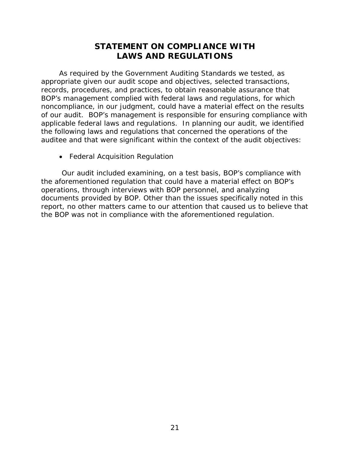### **STATEMENT ON COMPLIANCE WITH LAWS AND REGULATIONS**

<span id="page-26-0"></span>As required by the *Government Auditing Standards* we tested, as appropriate given our audit scope and objectives, selected transactions, records, procedures, and practices, to obtain reasonable assurance that BOP's management complied with federal laws and regulations, for which noncompliance, in our judgment, could have a material effect on the results of our audit. BOP's management is responsible for ensuring compliance with applicable federal laws and regulations. In planning our audit, we identified the following laws and regulations that concerned the operations of the auditee and that were significant within the context of the audit objectives:

• Federal Acquisition Regulation

Our audit included examining, on a test basis, BOP's compliance with the aforementioned regulation that could have a material effect on BOP's operations, through interviews with BOP personnel, and analyzing documents provided by BOP. Other than the issues specifically noted in this report, no other matters came to our attention that caused us to believe that the BOP was not in compliance with the aforementioned regulation.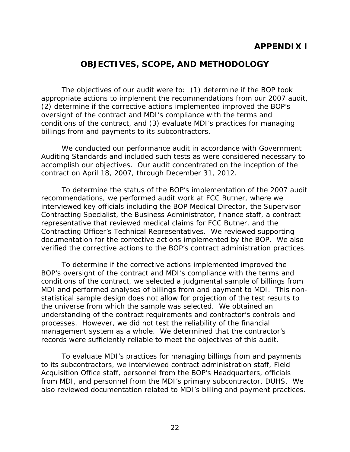### **APPENDIX I**

### **OBJECTIVES, SCOPE, AND METHODOLOGY**

<span id="page-27-0"></span>The objectives of our audit were to: (1) determine if the BOP took appropriate actions to implement the recommendations from our 2007 audit, (2) determine if the corrective actions implemented improved the BOP's oversight of the contract and MDI's compliance with the terms and conditions of the contract, and (3) evaluate MDI's practices for managing billings from and payments to its subcontractors.

We conducted our performance audit in accordance with Government Auditing Standards and included such tests as were considered necessary to accomplish our objectives. Our audit concentrated on the inception of the contract on April 18, 2007, through December 31, 2012.

To determine the status of the BOP's implementation of the 2007 audit recommendations, we performed audit work at FCC Butner, where we interviewed key officials including the BOP Medical Director, the Supervisor Contracting Specialist, the Business Administrator, finance staff, a contract representative that reviewed medical claims for FCC Butner, and the Contracting Officer's Technical Representatives. We reviewed supporting documentation for the corrective actions implemented by the BOP. We also verified the corrective actions to the BOP's contract administration practices.

 processes. However, we did not test the reliability of the financial To determine if the corrective actions implemented improved the BOP's oversight of the contract and MDI's compliance with the terms and conditions of the contract, we selected a judgmental sample of billings from MDI and performed analyses of billings from and payment to MDI. This nonstatistical sample design does not allow for projection of the test results to the universe from which the sample was selected. We obtained an understanding of the contract requirements and contractor's controls and management system as a whole. We determined that the contractor's records were sufficiently reliable to meet the objectives of this audit.

To evaluate MDI's practices for managing billings from and payments to its subcontractors, we interviewed contract administration staff, Field Acquisition Office staff, personnel from the BOP's Headquarters, officials from MDI, and personnel from the MDI's primary subcontractor, DUHS. We also reviewed documentation related to MDI's billing and payment practices.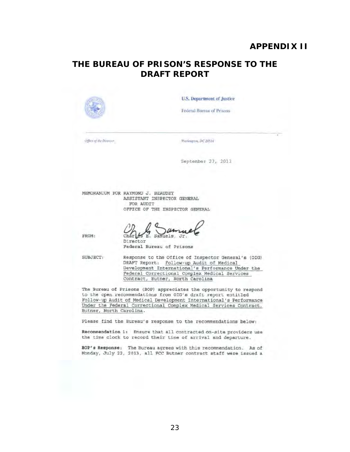### **APPENDIX II**

### <span id="page-28-0"></span>**THE BUREAU OF PRISON'S RESPONSE TO THE DRAFT REPORT**

|                       | Federal Bureau of Prisons                                                                                                                                                                                                                 |  |
|-----------------------|-------------------------------------------------------------------------------------------------------------------------------------------------------------------------------------------------------------------------------------------|--|
| Office of the Direone | Washington, DC 20534                                                                                                                                                                                                                      |  |
|                       | September 23, 2013                                                                                                                                                                                                                        |  |
|                       | MEMORANDUM FOR RAYMOND J. BEAUDET<br>ASSISTANT INSPECTOR GENERAL<br>FOR AUDIT<br>OFFICE OF THE INSPECTOR GENERAL                                                                                                                          |  |
| FROM:                 | Char.<br>S E. Samuels, Jr.<br>Director<br>Federal Bureau of Prisons                                                                                                                                                                       |  |
| SUBJECT:              | Response to the Office of Inspector General's (OIG)<br>DRAFT Report: Follow-up Audit of Medical<br>Development International's Performance Under the<br>Federal Correctional Complex Medical Services<br>Contract, Butner, North Carolina |  |
|                       | The Bureau of Prisons (BOP) appreciates the opportunity to respond                                                                                                                                                                        |  |

BOP's Response: The Bureau agrees with this recommendation. As of Monday, July 22, 2013, all FCC Butner contract staff were issued a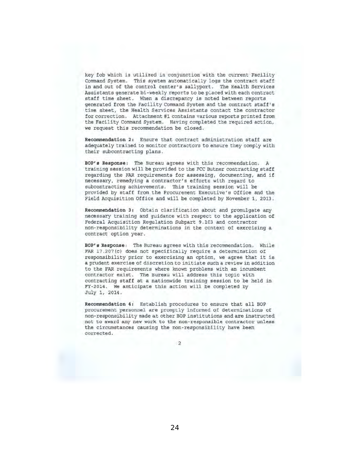key fob which is utilized in conjunction with the current Facility Command System. This system automatically logs the contract staff in and out of the control center's sallyport. The Health Services Assistants generate bi-weekly reports to be placed with each contract staff time sheet. When a discrepancy is noted between reports generated from the Facility Command System and the contract staff's time sheet, the Health Services Assistants contact the contractor for correction. Attachment #1 contains various reporte printed from the Facility Command System. Having completed the required action, we request this recommendation be closed.

Recommendation 2: Ensure that contract administration staff are adequately trained to monitor contractors to eneure they comply with their subcontracting plans.

BOP's Response: The Bureau agrees with this recommendation. A training session will be provided to the FCC Butner contracting staff regarding the FAR requirements for assessing, documenting, and if necessary, remedying a contractor's efforts with regard to subcontracting achievemente. This training session will be provided by staff from the Procurement Executive'e Office and the Field Acquisition Office and will be completed by November 1, 2013.

Recommendation 3: Obtain Clarification about and promulgate any necessary training and guidance with respect to the application of Federal Acquisition Regulation Subpart 9.103 and contractor non-responsibility determinations in the context of exercising a contract option year.

BOP's Response: The Bureau agrees with this recommendation. While FAR 17.207 (c) does not specifically require a determination of responsibility prior to exercising an option, we agree that it is a prudent exercise of discretion to initiate such a review in addition to the FAR requirements where known problems with an incumbent contractor exist. The Bureau will address this topic with contracting staff at a nationwide training session to be held in FY-2014 . We anticipate this action will be completed by July 1, 2014.

Recommendation 4: Establish procedures to ensure that all BOP procurement personnel are promptly informed of determinations of non-responsibility made at other BOP institutions and are instructed not to award any new work to the non-responsible contractor unless the circumstances causing the non-responsibility have been corrected. ,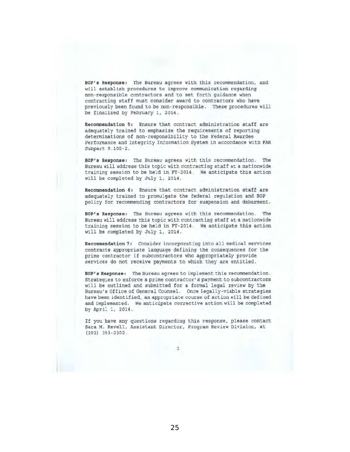BOP's Response: The Bureau agrees with this recommendation, and will establish procedures to improve communication regarding non-responsible contractors and to set forth guidance when contracting staff must consider award to contractors who have previously been found to be non-responsible. These procedures will be finalized by February 1, 2014.

Recommendation 5: Ensure that contract administration staff are adequately trained to emphasize the requirements of reporting determinations of non-responsibility to the Federal Awardee Performance and Integrity Information System in accordance with FAR Subpart 9.105-2.

BOP's Response: The Bureau agrees with this recommendation. The Bureau will addrese this topic with contracting staff at a nationwide training seseion to be held in FY-2014. We anticipate this action will be completed by July 1, 2014.

Recommendation 6: Ensure that contract administration staff are adequately trained to promulgate the federal regulation and BOP policy for recommending contractors for suspension and debarment.

BOP's Response: The Bureau agrees with this recommendation. The Bureau will address this topic with contracting staff at a nationwide training session to bs held in FY·2014. We anticipate this action will be completed by July 1, 2014.

Recommendation 7: Consider incorporating into all medical services contracts appropriate language defining the consequences for the prime contractor if subcontractors who appropriately provide services do not receive payments to which they are entitled,

BOP's Response: The Bureau agrees to implement this recommendation. Strategies to enforce a prime contractor's payment to subcontractors will be outlined and submitted for a formal legal review by the Bureau's Office of General Counsel. Once legally-viable strategies have been identified, an appropriate course of action will be defined and implemented, We anticipate corrective action will be completed by Apri: 1, 2014.

If you have any questions regarding this response, please contact Sara M. Revell, Assistant Director, Program Review Division, at (202) 353-2302,

3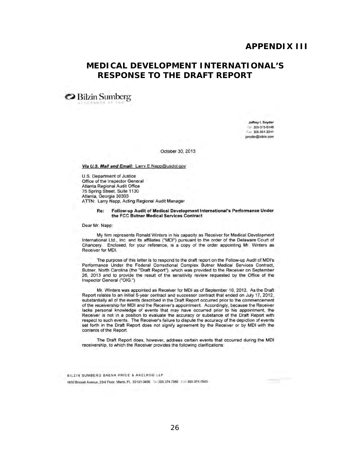### <span id="page-31-0"></span>**MEDICAL DEVELOPMENT INTERNATIONAL'S RESPONSE TO THE DRAFT REPORT**

<sup>~</sup>Bilzin Sumberg " ,

Jeffrey I, Snyder T ... 305-375-6148 Fax 305-351-2241 jsnyder@bilzin.com

October 30, 2013

Via U.S. Mail and Email: Larry.E.Napp@usdoj.gov

U.S. Department of Justice Office of the Inspector General Atlanta Regional Audit Office 75 Spring Street, Suite 1130 Atlanta, Georgia 30303 ATTN: Larry Napp, Acting Regional Audit Manager

#### Re: Follow-up Audit of Medical Development International's Performance Under the FCC Butner Medical Services Contract

Dear Mr. Napp:

My firm represents Ronald Winters in his capacity as Receiver for Medical Development International Ltd., Inc. and its affiliates ("MDI") pursuant to the order of the Delaware Court of Chancery. Enclosed, for your reference, is a copy of the order appointing Mr. Winters as Receiver for MDI.

The purpose of this letter is to respond to the draft report on the Follow-up Audit of MDI's Performance Under the Federal Correctional Complex Butner Medical Services Contract, Butner, North Carolina (the "Draft Report"), which was provided to the Receiver on September 26, 2013 and to provide the result of the sensitivity review requested by the Office of the Inspector General ("OIG.")

Mr. Winters was appointed as Receiver for MDI as of September 10, 2012. As the Draft Report relates to an initial 5-year contract and successor contract that ended on July 17, 2012, substantially all of the events described in the Draft Report occurred prior to the commencement of the receivership for MDI and the Receiver's appointment. Accordingly, because the Receiver lacks personal knowledge of events that may have occurred prior to his appointment, the Receiver is not in a position to evaluate the accuracy or substance of the Draft Report with respect to such events. The Receiver's failure to dispute the accuracy of the depiction of events set fonh in the Draft Report does not signify agreement by the Receiver or by MOl with the contents 01 the Report.

The Draft Report does, however, address certain events that occurred during the MDI receivership, to which the Receiver provides the following clarifications:

BILZIN SUMBERG BAENA PRICE & AXELROD LLP 81LZIN SUMBERG BAENA PRICE & AXELROD LLP<br>1450 Brickell Avenue, 23rd Floor, Miami, FL 33131-3456. Fc 305.374.7580 F3=305.374.7593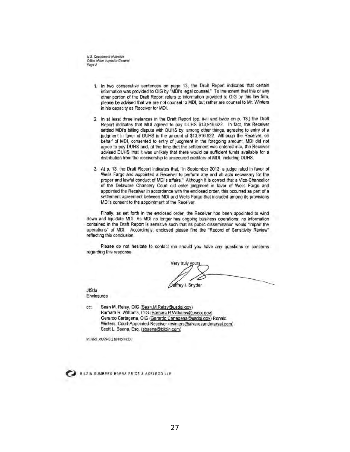U.S. Department of Justice Office of the Inspector General Page 2

- 1. In two consecutive sentences on page 13, the Draft Report indicates that certain information was provided to OIG by "MDI's legal counsel." To the extent that this or any other portion of the Draft Report refers to inlormation provided to OIG by this law firm, ptease be advised that we are not counsel to MOl, but rather are counsel to Mr. Winters in his capacity as Receiver for MDI.
- 2. In at least three instances in the Draft Report (pp. ii-iii and twice on p. 13,) the Draft Report indicates that MOl agreed to pay DUHS \$13,916,622. In fact, the Receiver settled MDI's billing dispute with DUHS by, among other things, agreeing to entry of a judgment in favor of DUHS in the amount of \$13,916,622. Although the Receiver, on behalf of MDI, consented to entry of judgment in the foregoing amount, MDI did not agree to pay DUHS and, at the time that the settlement was entered into, the Receiver advised DUHS that it was unlikely that there would be sufficient funds available for a distribution from the receivership to unsecured creditors of MDI, including DUHS.
- 3. At p. 13, the Draft Report indicates that, "in September 2012, a judge ruled in favor of Wells Fargo and appointed a Receiver to perform any and all acts necessary for the proper and lawful conduct of MDI's affairs." Although it is correct that a Vice-Chancellor of the Delaware Chancery Court did enter judgment in favor of Wells Fargo and appointed the Receiver in accordance with the enclosed order, this occurred as part of a settlement agreement between MDI and Wells Fargo that included among its provisions MDI's consent to the appointment of the Receiver.

Finally, as set forth in the enclosed order, the Receiver has been appointed to wind down and liquidate MOt As MOl no longer has ongoing business operations, no information contained in the Draft Report is sensitive such that ils public dissemination would "impair the operations" of MDI. Accordingly, enclosed please find the "Record of Sensitivity Review" reflecting this conclusion.

Please do not hesitate to contact me should you have any questions or concerns regarding this response.

Very truly yours JIS:la **Zemey L**onyder

Enclosures

cc: Sean M. Relay, OIG (Sean.M.Relay@usdoj.gov) Barbara R. Williams, OIG (Barbara.R.Williams@usdoj.gov) Gerardo Cartagena, OIG (Gerardo.Cartegena@usdoj.gov) Ronald Winters, Court-Appointed Receiver (rwinters@alvarezandmarsal.com) Scott L. Baena, Esq. (sbaena@bilzin.com)

MIAMI 3909943 2 80105/41537



BILZIN SUMBERG BAENA PRICE & AXELROD LLP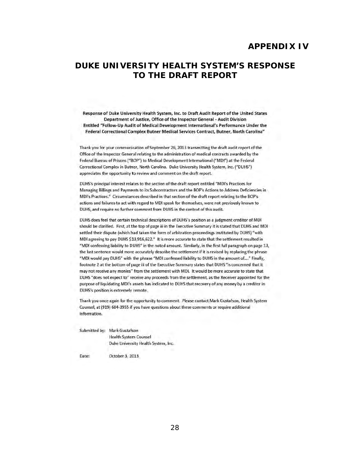#### **APPENDIX IV**

### <span id="page-33-0"></span>**DUKE UNIVERSITY HEALTH SYSTEM'S RESPONSE TO THE DRAFT REPORT**

Response of Duke University Health System, Inc. to Draft Audit Report of the United States Department of Justice, Office of the Inspector General - Audit Division Entitled "Follow-Up Aud it of Medical Development International's Performance Under the Federal Correctional Complex Butner Medical Services Contract, Butner, North Carolina"

Thank you for your communication of September 26, 2013 transmitting the draft audit report of the Office of the Inspector General relating to the administration of medical contracts awarded by the Federal Bureau of Prisons ("BOP") to Medical Development International ("MDI") at the Federal Correctional Complex in Butner, North Carolina. Duke University Health System, Inc. ("DUHS") appreciates the opportunity to review and comment on the draft report.

DUHS's principal interest relates to the section of the draft report entitled "MDI's Practices for Managing Billings and Payments to its Subcontractors and the BOP's Actions to Address Deficiencies in MDI's Practices." Circumstances described in that section of the draft report relating to the BOP's actions and failures to act with regard to MDI speak for themselves, were not previously known to DUHS, and require no further comment from DUHS in the context of this audit.

DUHS does feel that certain technical descriptions of DUHS's position as a judgment creditor of MDI should be clarified. First, at the top of page iii in the Executive Summary it is stated that DUHS and MDI settled their dispute (which had taken the form of arbitration proceedings instituted by DUHS) "with MDI agreeing to pay DUHS \$13,916,622." It is more accurate to state that the settlement resulted in "MOl confessing liability to OUHS" in the noted amount. Similarly, in the first full paragraph on page 13, the last sentence would more accurately describe the settlement if it is revised by replacing the phrase "MOl would pay DUHS" with the phrase "MOl confessed liability to DUHS in the amount 01...." Finally, footnote 2 at the bottom of page iii of the Executive Summary states that DUHS "is concerned that it may not receive any monies" from the settlement with MDI. It would be more accurate to state that DUHS "does not expect to" receive any proceeds from the settlement, as the Receiver appointed for the purpose of liquidating MDI's assets has indicated to DUHS that recovery of any money by a creditor in DUHS's position is extremely remote.

Thank you once again for the opportunity to comment. Please contact Mark Gustafson, Health System Counsel, at (919) 684-3955 if you have questions about these comments or require additional information.

Submitted by: Mark Gustafson Health System Counsel

Duke University Health System, Inc.

Date: October 3, 2013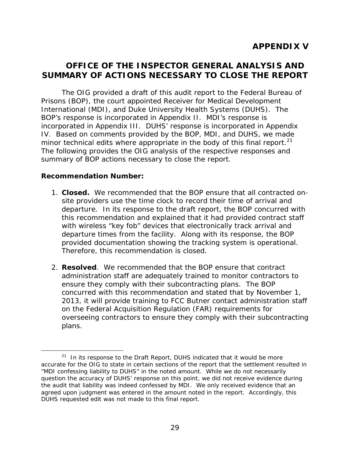### <span id="page-34-0"></span>**OFFICE OF THE INSPECTOR GENERAL ANALYSIS AND SUMMARY OF ACTIONS NECESSARY TO CLOSE THE REPORT**

minor technical edits where appropriate in the body of this final report. $^{21}$ The OIG provided a draft of this audit report to the Federal Bureau of Prisons (BOP), the court appointed Receiver for Medical Development International (MDI), and Duke University Health Systems (DUHS). The BOP's response is incorporated in Appendix II. MDI's response is incorporated in Appendix III. DUHS' response is incorporated in Appendix IV. Based on comments provided by the BOP, MDI, and DUHS, we made The following provides the OIG analysis of the respective responses and summary of BOP actions necessary to close the report.

#### **Recommendation Number:**

- 1. **Closed.** We recommended that the BOP ensure that all contracted onsite providers use the time clock to record their time of arrival and departure. In its response to the draft report, the BOP concurred with this recommendation and explained that it had provided contract staff with wireless "key fob" devices that electronically track arrival and departure times from the facility. Along with its response, the BOP provided documentation showing the tracking system is operational. Therefore, this recommendation is closed.
- 2. **Resolved**. We recommended that the BOP ensure that contract administration staff are adequately trained to monitor contractors to ensure they comply with their subcontracting plans. The BOP concurred with this recommendation and stated that by November 1, 2013, it will provide training to FCC Butner contact administration staff on the Federal Acquisition Regulation (FAR) requirements for overseeing contractors to ensure they comply with their subcontracting plans.

 $21$  In its response to the Draft Report, DUHS indicated that it would be more accurate for the OIG to state in certain sections of the report that the settlement resulted in "MDI confessing liability to DUHS" in the noted amount. While we do not necessarily question the accuracy of DUHS' response on this point, we did not receive evidence during the audit that liability was indeed confessed by MDI. We only received evidence that an agreed upon judgment was entered in the amount noted in the report. Accordingly, this DUHS requested edit was not made to this final report.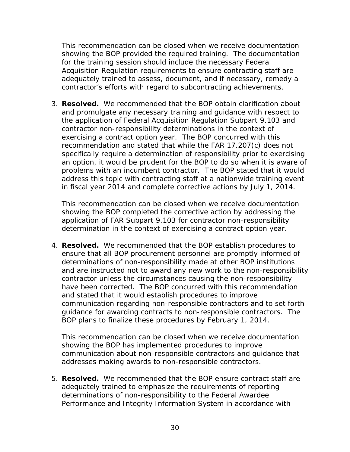This recommendation can be closed when we receive documentation showing the BOP provided the required training. The documentation for the training session should include the necessary Federal Acquisition Regulation requirements to ensure contracting staff are adequately trained to assess, document, and if necessary, remedy a contractor's efforts with regard to subcontracting achievements.

3. **Resolved.** We recommended that the BOP obtain clarification about and promulgate any necessary training and guidance with respect to the application of Federal Acquisition Regulation Subpart 9.103 and contractor non-responsibility determinations in the context of exercising a contract option year. The BOP concurred with this recommendation and stated that while the FAR 17.207(c) does not specifically require a determination of responsibility prior to exercising an option, it would be prudent for the BOP to do so when it is aware of problems with an incumbent contractor. The BOP stated that it would address this topic with contracting staff at a nationwide training event in fiscal year 2014 and complete corrective actions by July 1, 2014.

This recommendation can be closed when we receive documentation showing the BOP completed the corrective action by addressing the application of FAR Subpart 9.103 for contractor non-responsibility determination in the context of exercising a contract option year.

4. **Resolved.** We recommended that the BOP establish procedures to ensure that all BOP procurement personnel are promptly informed of determinations of non-responsibility made at other BOP institutions and are instructed not to award any new work to the non-responsibility contractor unless the circumstances causing the non-responsibility have been corrected. The BOP concurred with this recommendation and stated that it would establish procedures to improve communication regarding non-responsible contractors and to set forth guidance for awarding contracts to non-responsible contractors. The BOP plans to finalize these procedures by February 1, 2014.

This recommendation can be closed when we receive documentation showing the BOP has implemented procedures to improve communication about non-responsible contractors and guidance that addresses making awards to non-responsible contractors.

5. **Resolved.** We recommended that the BOP ensure contract staff are adequately trained to emphasize the requirements of reporting determinations of non-responsibility to the Federal Awardee Performance and Integrity Information System in accordance with